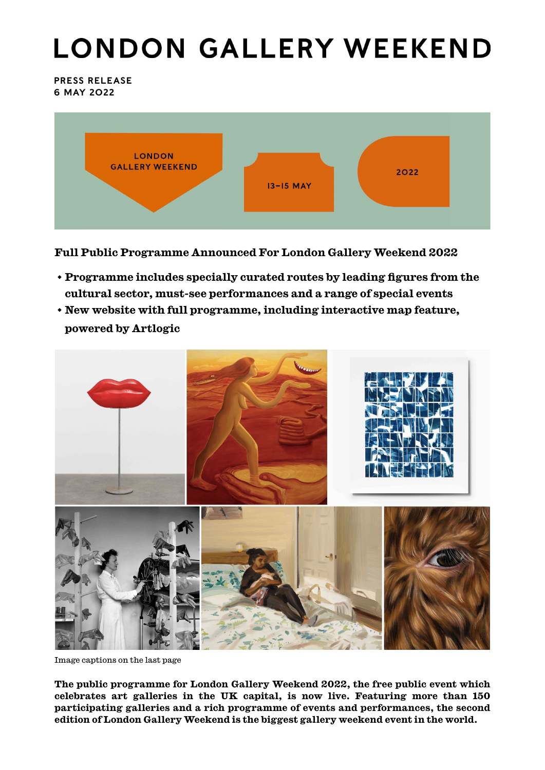# **LONDON GALLERY WEEKEND**

PRESS RELEASE 6 may 2022



**Full Public Programme Announced For London Gallery Weekend 2022**

- **Programme includes specially curated routes by leading figures from the cultural sector, must-see performances and a range of special events**
- **New website with full programme, including interactive map feature, powered by Artlogic**



Image captions on the last page

**The public programme for London Gallery Weekend 2022, the free public event which celebrates art galleries in the UK capital, is now live. Featuring more than 150 participating galleries and a rich programme of events and performances, the second edition of London Gallery Weekend is the biggest gallery weekend event in the world.**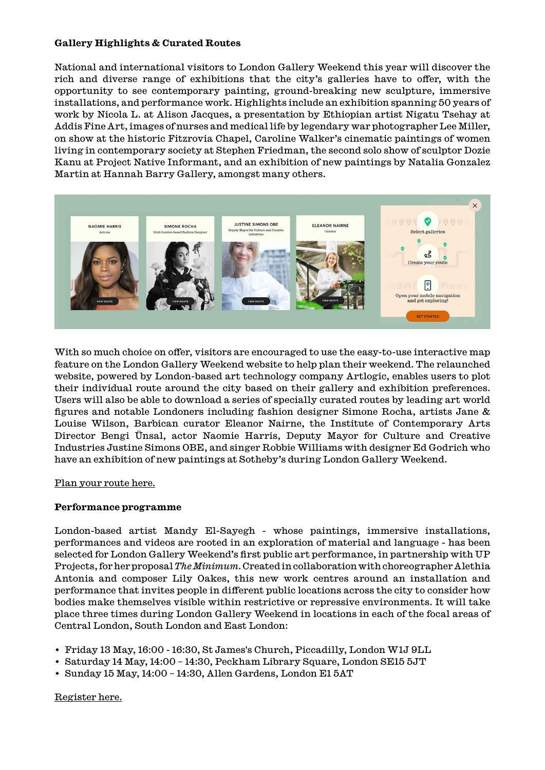#### **Gallery Highlights & Curated Routes**

National and international visitors to London Gallery Weekend this year will discover the rich and diverse range of exhibitions that the city's galleries have to offer, with the opportunity to see contemporary painting, ground-breaking new sculpture, immersive installations, and performance work. Highlights include an exhibition spanning 50 years of work by Nicola L. at Alison Jacques, a presentation by Ethiopian artist Nigatu Tsehay at Addis Fine Art, images of nurses and medical life by legendary war photographer Lee Miller, on show at the historic Fitzrovia Chapel, Caroline Walker's cinematic paintings of women living in contemporary society at Stephen Friedman, the second solo show of sculptor Dozie Kanu at Project Native Informant, and an exhibition of new paintings by Natalia Gonzalez Martin at Hannah Barry Gallery, amongst many others.



With so much choice on offer, visitors are encouraged to use the easy-to-use interactive map feature on the London Gallery Weekend website to help plan their weekend. The relaunched website, powered by London-based art technology company Artlogic, enables users to plot their individual route around the city based on their gallery and exhibition preferences. Users will also be able to download a series of specially curated routes by leading art world figures and notable Londoners including fashion designer Simone Rocha, artists Jane & Louise Wilson, Barbican curator Eleanor Nairne, the Institute of Contemporary Arts Director Bengi Ünsal, actor Naomie Harris, Deputy Mayor for Culture and Creative Industries Justine Simons OBE, and singer Robbie Williams with designer Ed Godrich who have an exhibition of new paintings at Sotheby's during London Gallery Weekend.

#### [Plan your route here.](https://londongalleryweekend.art/map/)

#### **Performance programme**

London-based artist Mandy El-Sayegh - whose paintings, immersive installations, performances and videos are rooted in an exploration of material and language - has been selected for London Gallery Weekend's first public art performance, in partnership with UP Projects, for her proposal *The Minimum*. Created in collaboration with choreographer Alethia Antonia and composer Lily Oakes, this new work centres around an installation and performance that invites people in different public locations across the city to consider how bodies make themselves visible within restrictive or repressive environments. It will take place three times during London Gallery Weekend in locations in each of the focal areas of Central London, South London and East London:

- Friday 13 May, 16:00 16:30, St James's Church, Piccadilly, London W1J 9LL
- Saturday 14 May, 14:00 14:30, Peckham Library Square, London SE15 5JT
- Sunday 15 May, 14:00 14:30, Allen Gardens, London E1 5AT

[Register here.](https://www.eventbrite.co.uk/e/the-minimum-mandy-el-sayegh-london-gallery-weekend-x-up-projects-tickets-328886366977)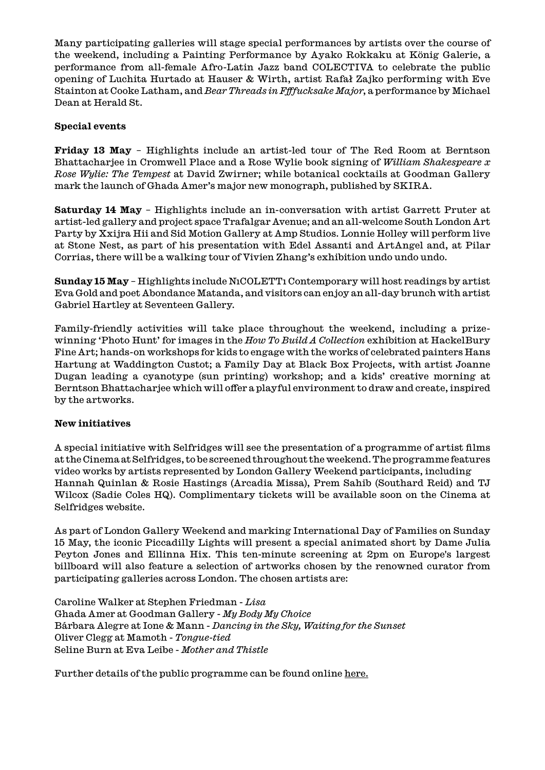Many participating galleries will stage special performances by artists over the course of the weekend, including a Painting Performance by Ayako Rokkaku at König Galerie, a performance from all-female Afro-Latin Jazz band COLECTIVA to celebrate the public opening of Luchita Hurtado at Hauser & Wirth, artist Rafał Zajko performing with Eve Stainton at Cooke Latham, and *Bear Threads in Ffffucksake Major*, a performance by Michael Dean at Herald St.

#### **Special events**

**Friday 13 May** – Highlights include an artist-led tour of The Red Room at Berntson Bhattacharjee in Cromwell Place and a Rose Wylie book signing of *William Shakespeare x Rose Wylie: The Tempest* at David Zwirner; while botanical cocktails at Goodman Gallery mark the launch of Ghada Amer's major new monograph, published by SKIRA.

**Saturday 14 May** – Highlights include an in-conversation with artist Garrett Pruter at artist-led gallery and project space Trafalgar Avenue; and an all-welcome South London Art Party by Xxijra Hii and Sid Motion Gallery at Amp Studios. Lonnie Holley will perform live at Stone Nest, as part of his presentation with Edel Assanti and ArtAngel and, at Pilar Corrias, there will be a walking tour of Vivien Zhang's exhibition undo undo undo.

**Sunday 15 May** – Highlights include NıCOLETTı Contemporary will host readings by artist Eva Gold and poet Abondance Matanda, and visitors can enjoy an all-day brunch with artist Gabriel Hartley at Seventeen Gallery.

Family-friendly activities will take place throughout the weekend, including a prizewinning 'Photo Hunt' for images in the *How To Build A Collection* exhibition at HackelBury Fine Art; hands-on workshops for kids to engage with the works of celebrated painters Hans Hartung at Waddington Custot; a Family Day at Black Box Projects, with artist Joanne Dugan leading a cyanotype (sun printing) workshop; and a kids' creative morning at Berntson Bhattacharjee which will offer a playful environment to draw and create, inspired by the artworks.

#### **New initiatives**

A special initiative with Selfridges will see the presentation of a programme of artist films at the Cinema at Selfridges, to be screened throughout the weekend. The programme features video works by artists represented by London Gallery Weekend participants, including Hannah Quinlan & Rosie Hastings (Arcadia Missa), Prem Sahib (Southard Reid) and TJ Wilcox (Sadie Coles HQ). Complimentary tickets will be available soon on the Cinema at Selfridges website.

As part of London Gallery Weekend and marking International Day of Families on Sunday 15 May, the iconic Piccadilly Lights will present a special animated short by Dame Julia Peyton Jones and Ellinna Hix. This ten-minute screening at 2pm on Europe's largest billboard will also feature a selection of artworks chosen by the renowned curator from participating galleries across London. The chosen artists are:

Caroline Walker at Stephen Friedman - *Lisa* Ghada Amer at Goodman Gallery - *My Body My Choice* Bárbara Alegre at Ione & Mann - *Dancing in the Sky, Waiting for the Sunset* Oliver Clegg at Mamoth - *Tongue-tied* Seline Burn at Eva Leibe - *Mother and Thistle*

Further details of the public programme can be found online [here](https://londongalleryweekend.art/events/).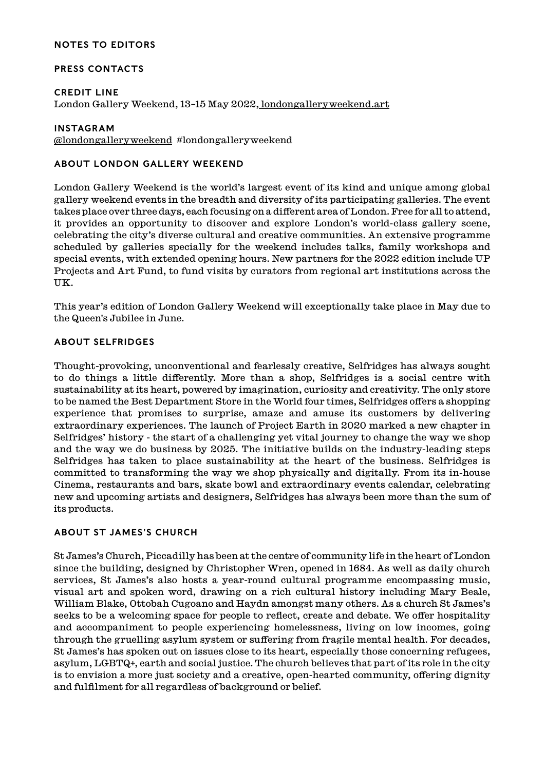#### NOTES TO EDITORS

#### PRESS CONTACTS

#### CREDIT LINE

London Gallery Weekend, 13–15 May 2022[, londongalleryweekend.art](https://londongalleryweekend.art/)

#### INSTAGRAM

[@londongalleryweekend](https://www.instagram.com/londongalleryweekend/) #londongalleryweekend

#### ABOUT LONDON GALLERY WEEKEND

London Gallery Weekend is the world's largest event of its kind and unique among global gallery weekend events in the breadth and diversity of its participating galleries. The event takes place over three days, each focusing on a different area of London. Free for all to attend, it provides an opportunity to discover and explore London's world-class gallery scene, celebrating the city's diverse cultural and creative communities. An extensive programme scheduled by galleries specially for the weekend includes talks, family workshops and special events, with extended opening hours. New partners for the 2022 edition include UP Projects and Art Fund, to fund visits by curators from regional art institutions across the UK.

This year's edition of London Gallery Weekend will exceptionally take place in May due to the Queen's Jubilee in June.

#### ABOUT SELFRIDGES

Thought-provoking, unconventional and fearlessly creative, Selfridges has always sought to do things a little differently. More than a shop, Selfridges is a social centre with sustainability at its heart, powered by imagination, curiosity and creativity. The only store to be named the Best Department Store in the World four times, Selfridges offers a shopping experience that promises to surprise, amaze and amuse its customers by delivering extraordinary experiences. The launch of Project Earth in 2020 marked a new chapter in Selfridges' history - the start of a challenging yet vital journey to change the way we shop and the way we do business by 2025. The initiative builds on the industry-leading steps Selfridges has taken to place sustainability at the heart of the business. Selfridges is committed to transforming the way we shop physically and digitally. From its in-house Cinema, restaurants and bars, skate bowl and extraordinary events calendar, celebrating new and upcoming artists and designers, Selfridges has always been more than the sum of its products.

#### ABOUT ST JAMES'S CHURCH

St James's Church, Piccadilly has been at the centre of community life in the heart of London since the building, designed by Christopher Wren, opened in 1684. As well as daily church services, St James's also hosts a year-round cultural programme encompassing music, visual art and spoken word, drawing on a rich cultural history including Mary Beale, William Blake, Ottobah Cugoano and Haydn amongst many others. As a church St James's seeks to be a welcoming space for people to reflect, create and debate. We offer hospitality and accompaniment to people experiencing homelessness, living on low incomes, going through the gruelling asylum system or suffering from fragile mental health. For decades, St James's has spoken out on issues close to its heart, especially those concerning refugees, asylum, LGBTQ+, earth and social justice. The church believes that part of its role in the city is to envision a more just society and a creative, open-hearted community, offering dignity and fulfilment for all regardless of background or belief.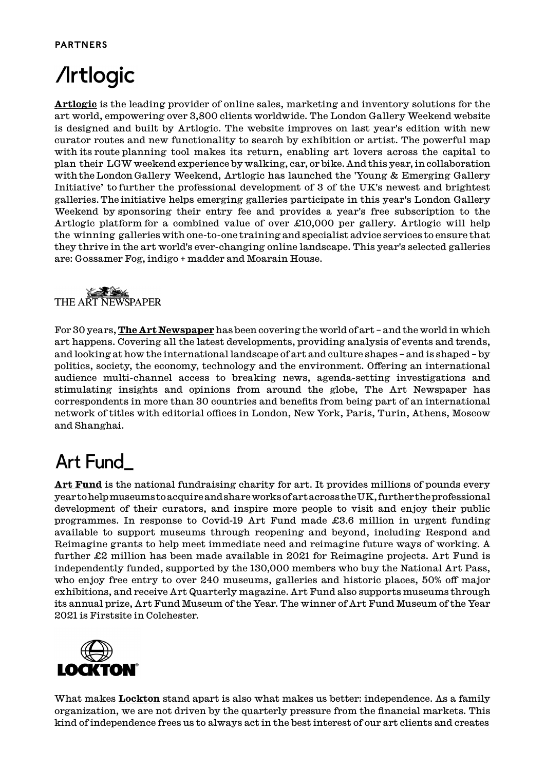#### PARTNERS

## **/Irtlogic**

**[Artlogic](https://artlogic.net/)** is the leading provider of online sales, marketing and inventory solutions for the art world, empowering over 3,800 clients worldwide. The London Gallery Weekend website is designed and built by Artlogic. The website improves on last year's edition with new curator routes and new functionality to search by exhibition or artist. The powerful map with its route planning tool makes its return, enabling art lovers across the capital to plan their LGW weekend experience by walking, car, or bike. And this year, in collaboration with the London Gallery Weekend, Artlogic has launched the 'Young & Emerging Gallery Initiative' to further the professional development of 3 of the UK's newest and brightest galleries. The initiative helps emerging galleries participate in this year's London Gallery Weekend by sponsoring their entry fee and provides a year's free subscription to the Artlogic platform for a combined value of over £10,000 per gallery. Artlogic will help the winning galleries with one-to-one training and specialist advice services to ensure that they thrive in the art world's ever-changing online landscape. This year's selected galleries are: Gossamer Fog, indigo + madder and Moarain House.



For 30 years, **[The Art Newspaper](https://www.theartnewspaper.com/)** has been covering the world of art – and the world in which art happens. Covering all the latest developments, providing analysis of events and trends, and looking at how the international landscape of art and culture shapes – and is shaped – by politics, society, the economy, technology and the environment. Offering an international audience multi-channel access to breaking news, agenda-setting investigations and stimulating insights and opinions from around the globe, The Art Newspaper has correspondents in more than 30 countries and benefits from being part of an international network of titles with editorial offices in London, New York, Paris, Turin, Athens, Moscow and Shanghai.

### Art Fund

**[Art Fund](https://www.artfund.org/)** is the national fundraising charity for art. It provides millions of pounds every year to help museums to acquire and share works of art across the UK, further the professional development of their curators, and inspire more people to visit and enjoy their public programmes. In response to Covid-19 Art Fund made £3.6 million in urgent funding available to support museums through reopening and beyond, including Respond and Reimagine grants to help meet immediate need and reimagine future ways of working. A further £2 million has been made available in 2021 for Reimagine projects. Art Fund is independently funded, supported by the 130,000 members who buy the National Art Pass, who enjoy free entry to over 240 museums, galleries and historic places, 50% off major exhibitions, and receive Art Quarterly magazine. Art Fund also supports museums through its annual prize, Art Fund Museum of the Year. The winner of Art Fund Museum of the Year 2021 is Firstsite in Colchester.



What makes **[Lockton](https://global.lockton.com/gb/en/products-services/fine-art-and-specie-insurance)** stand apart is also what makes us better: independence. As a family organization, we are not driven by the quarterly pressure from the financial markets. This kind of independence frees us to always act in the best interest of our art clients and creates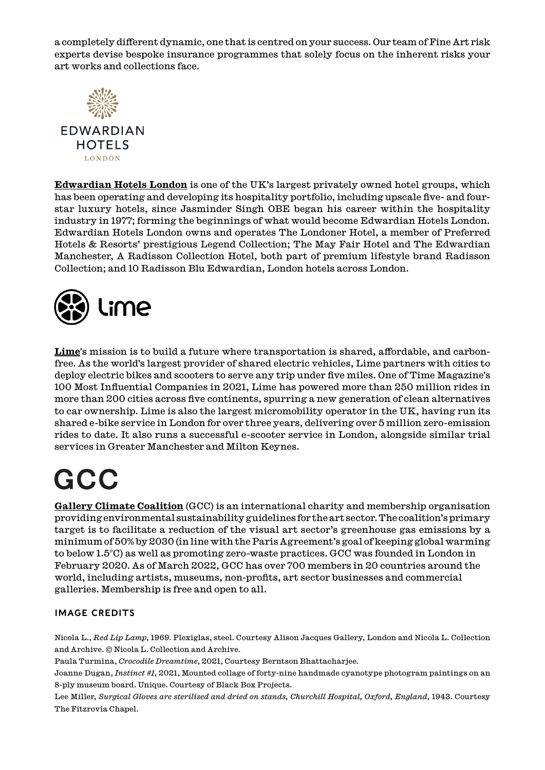a completely different dynamic, one that is centred on your success. Our team of Fine Art risk experts devise bespoke insurance programmes that solely focus on the inherent risks your art works and collections face.



**LONDON** 

**[Edwardian Hotels London](https://www.edwardian.com/)** is one of the UK's largest privately owned hotel groups, which has been operating and developing its hospitality portfolio, including upscale five- and fourstar luxury hotels, since Jasminder Singh OBE began his career within the hospitality industry in 1977; forming the beginnings of what would become Edwardian Hotels London. Edwardian Hotels London owns and operates The Londoner Hotel, a member of Preferred Hotels & Resorts' prestigious Legend Collection; The May Fair Hotel and The Edwardian Manchester, A Radisson Collection Hotel, both part of premium lifestyle brand Radisson Collection; and 10 Radisson Blu Edwardian, London hotels across London.



**[Lime](https://lime-uk.co.uk/)**'s mission is to build a future where transportation is shared, affordable, and carbonfree. As the world's largest provider of shared electric vehicles, Lime partners with cities to deploy electric bikes and scooters to serve any trip under five miles. One of Time Magazine's 100 Most Influential Companies in 2021, Lime has powered more than 250 million rides in more than 200 cities across five continents, spurring a new generation of clean alternatives to car ownership. Lime is also the largest micromobility operator in the UK, having run its shared e-bike service in London for over three years, delivering over 5 million zero-emission rides to date. It also runs a successful e-scooter service in London, alongside similar trial services in Greater Manchester and Milton Keynes.

## GCC

**[Gallery Climate Coalition](https://galleryclimatecoalition.org/)** (GCC) is an international charity and membership organisation providing environmental sustainability guidelines for the art sector. The coalition's primary target is to facilitate a reduction of the visual art sector's greenhouse gas emissions by a minimum of 50% by 2030 (in line with the Paris Agreement's goal of keeping global warming to below 1.5°C) as well as promoting zero-waste practices. GCC was founded in London in February 2020. As of March 2022, GCC has over 700 members in 20 countries around the world, including artists, museums, non-profits, art sector businesses and commercial galleries. Membership is free and open to all.

#### image CREDITS

Nicola L., *Red Lip Lamp*, 1969. Plexiglas, steel. Courtesy Alison Jacques Gallery, London and Nicola L. Collection and Archive. © Nicola L. Collection and Archive.

Paula Turmina, *Crocodile Dreamtime*, 2021, Courtesy Berntson Bhattacharjee.

Joanne Dugan, *Instinct #1*, 2021, Mounted collage of forty-nine handmade cyanotype photogram paintings on an 8-ply museum board. Unique. Courtesy of Black Box Projects.

Lee Miller, *Surgical Gloves are sterilised and dried on stands, Churchill Hospital, Oxford, England*, 1943. Courtesy The Fitzrovia Chapel.